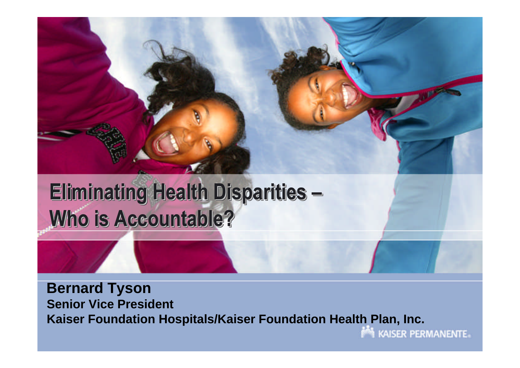

# **Eliminating Health Disparities – Who is Accountable?**

**Bernard Tyson Senior Vice President Kaiser Foundation Hospitals/Kaiser Foundation Health Plan, Inc.**

**MAISER PERMANENTE**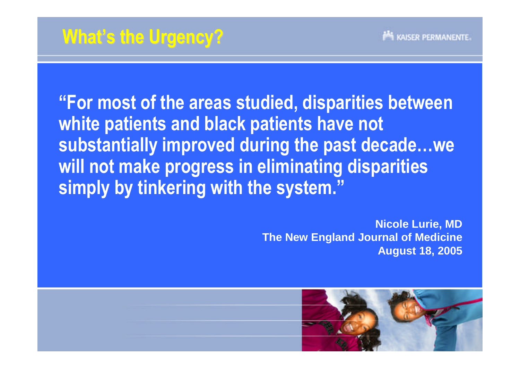**"For most of the areas studied, disparities between white patients and black patients have not substantially improved during the past decade…we will not make progress in eliminating disparities simply by tinkering with the system."**

> **Nicole Lurie, MD The New England Journal of Medicine August 18, 2005**

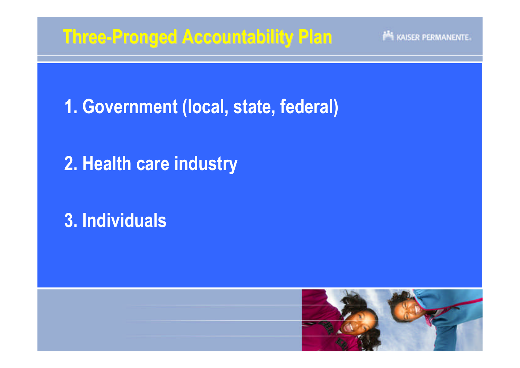## **Three-Pronged Accountability Plan**

KAISER PERMANENTE

**1. Government (local, state, federal)**

**2. Health care industry**

**3. Individuals**

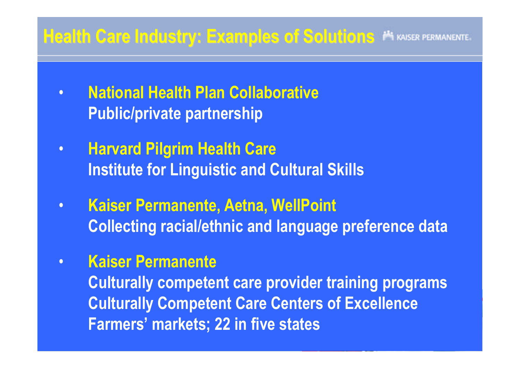#### **Health Care Industry: Examples of Solutions <sup>N</sup> KAISER PERMANENTE.**

- **National Health Plan Collaborative Public/private partnership**
- **Harvard Pilgrim Health Care Institute for Linguistic and Cultural Skills**
- **Kaiser Permanente, Aetna, WellPoint Collecting racial/ethnic and language preference data**
- **Kaiser Permanente**

**Culturally competent care provider training programs Culturally Competent Care Centers of Excellence Farmers' markets; 22 in five states**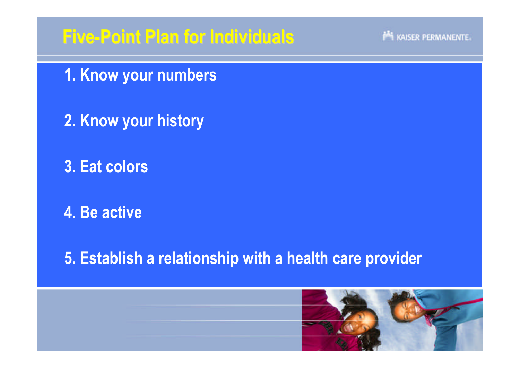## **Five-Point Plan for Individuals**

#### KAISER PERMANENTE.

**1. Know your numbers**

**2. Know your history**

**3. Eat colors**

**4. Be active**

**5. Establish a relationship with a health care provider**